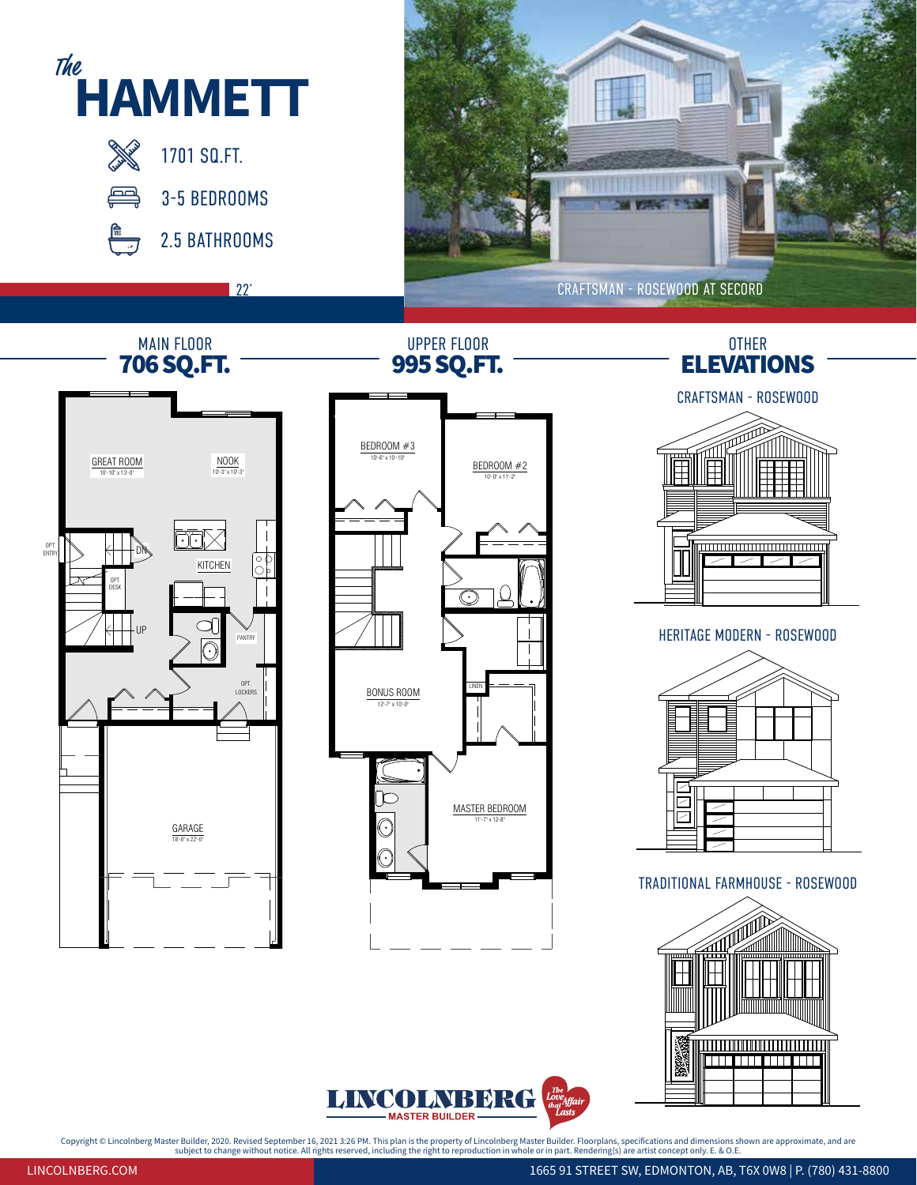



Copyright © Lincolnberg Master Builder, 2020. Revised September 16, 2021 3:26 PM. This plan is the property of Lincolnberg Master Builder. Floorplans, specifications and dimensions shown are approximate, and are<br>subject t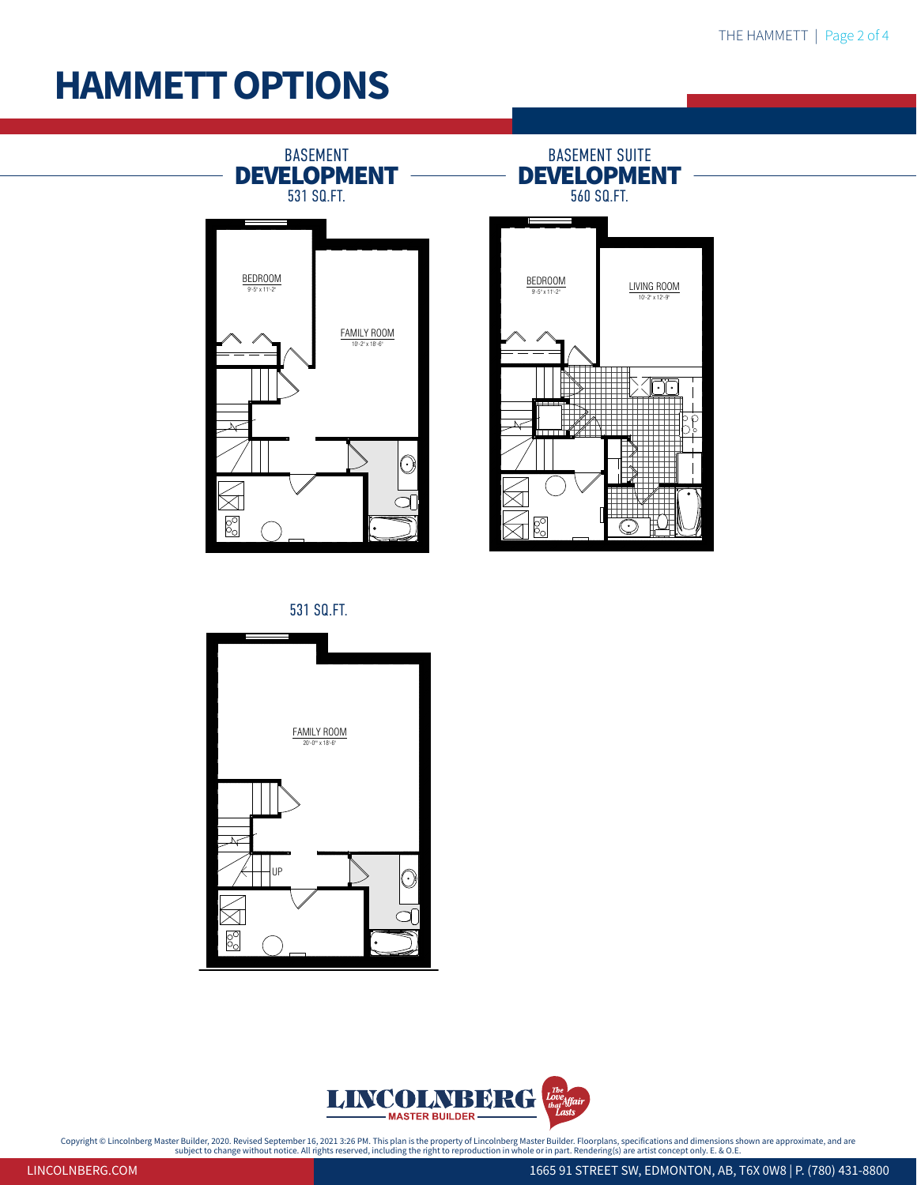## **HAMMETT OPTIONS**



531 SQ.FT.





Copyright © Lincolnberg Master Builder, 2020. Revised September 16, 2021 3:26 PM. This plan is the property of Lincolnberg Master Builder. Floorplans, specifications and dimensions shown are approximate, and are<br>subject on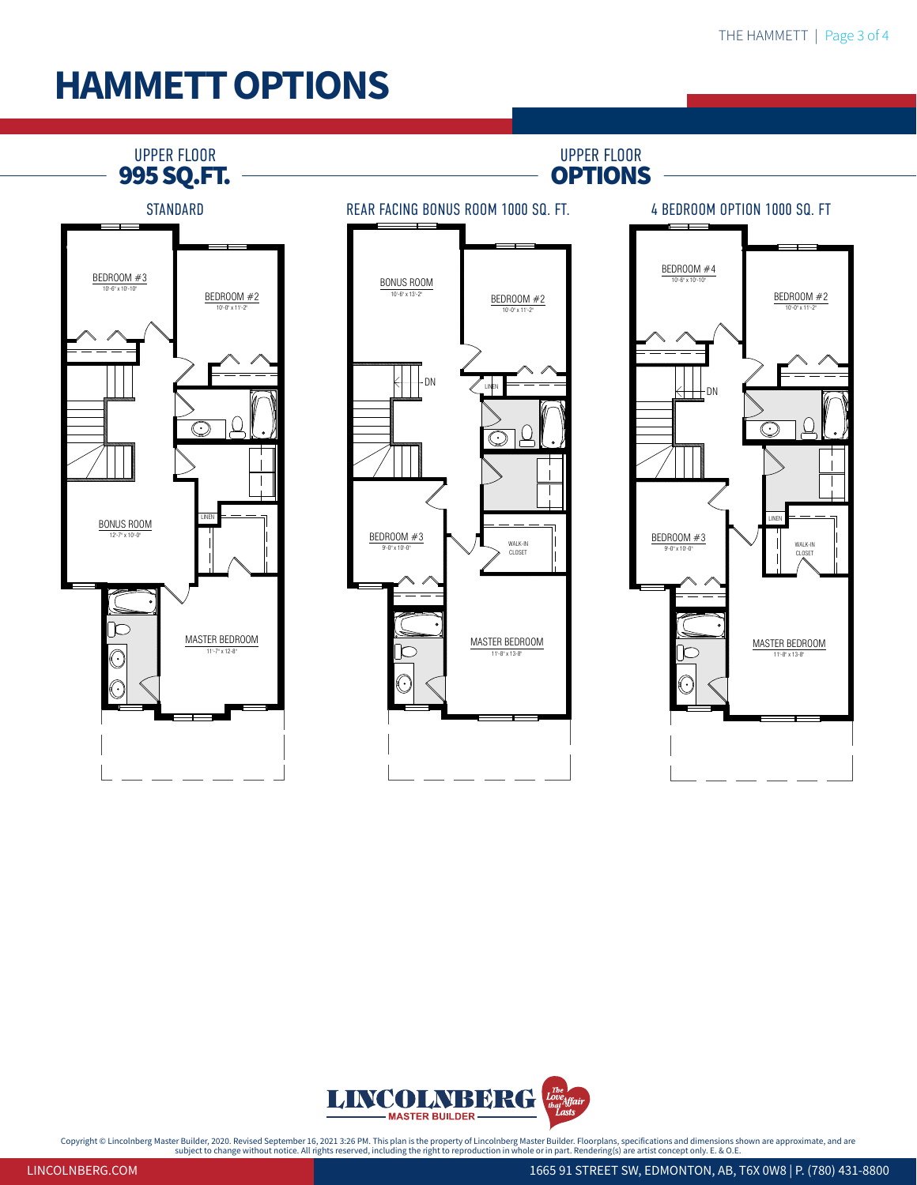## **HAMMETT OPTIONS**





Copyright © Lincolnberg Master Builder, 2020. Revised September 16, 2021 3:26 PM. This plan is the property of Lincolnberg Master Builder. Floorplans, specifications and dimensions shown are approximate, and are<br>subject on